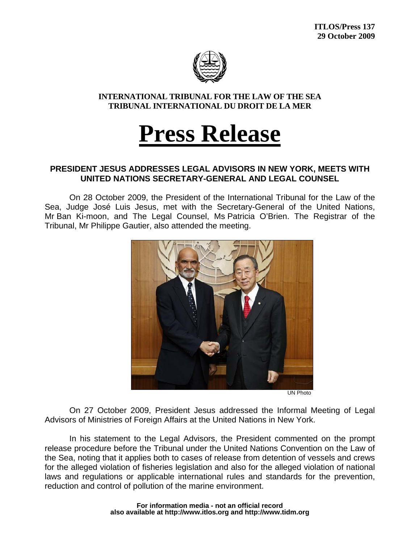

**INTERNATIONAL TRIBUNAL FOR THE LAW OF THE SEA TRIBUNAL INTERNATIONAL DU DROIT DE LA MER** 

## **Press Release**

## **PRESIDENT JESUS ADDRESSES LEGAL ADVISORS IN NEW YORK, MEETS WITH UNITED NATIONS SECRETARY-GENERAL AND LEGAL COUNSEL**

On 28 October 2009, the President of the International Tribunal for the Law of the Sea, Judge José Luis Jesus, met with the Secretary-General of the United Nations, Mr Ban Ki-moon, and The Legal Counsel, Ms Patricia O'Brien. The Registrar of the Tribunal, Mr Philippe Gautier, also attended the meeting.



UN Photo

On 27 October 2009, President Jesus addressed the Informal Meeting of Legal Advisors of Ministries of Foreign Affairs at the United Nations in New York.

In his statement to the Legal Advisors, the President commented on the prompt release procedure before the Tribunal under the United Nations Convention on the Law of the Sea, noting that it applies both to cases of release from detention of vessels and crews for the alleged violation of fisheries legislation and also for the alleged violation of national laws and regulations or applicable international rules and standards for the prevention, reduction and control of pollution of the marine environment.